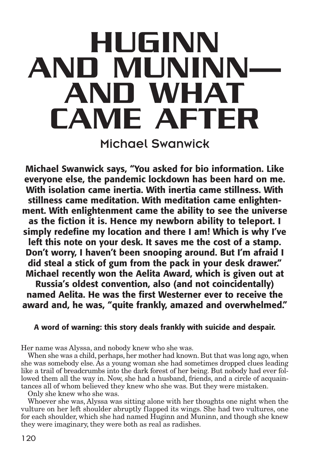# **HUGINN AND MUNINN— AND WHAT CAME AFTER**

Michael Swanwick

**Michael Swanwick says, "You asked for bio information. Like everyone else, the pandemic lockdown has been hard on me. With isolation came inertia. With inertia came stillness. With stillness came meditation. With meditation came enlightenment. With enlightenment came the ability to see the universe as the fiction it is. Hence my newborn ability to teleport. I simply redefine my location and there I am! Which is why I've left this note on your desk. It saves me the cost of a stamp. Don't worry, I haven't been snooping around. But I'm afraid I did steal a stick of gum from the pack in your desk drawer." Michael recently won the Aelita Award, which is given out at Russia's oldest convention, also (and not coincidentally) named Aelita. He was the first Westerner ever to receive the award and, he was, "quite frankly, amazed and overwhelmed."**

# **A word of warning: this story deals frankly with suicide and despair.**

Her name was Alyssa, and nobody knew who she was.

When she was a child, perhaps, her mother had known. But that was long ago, when she was somebody else. As a young woman she had sometimes dropped clues leading like a trail of breadcrumbs into the dark forest of her being. But nobody had ever followed them all the way in. Now, she had a husband, friends, and a circle of acquaintances all of whom believed they knew who she was. But they were mistaken.

Only she knew who she was.

Whoever she was, Alyssa was sitting alone with her thoughts one night when the vulture on her left shoulder abruptly flapped its wings. She had two vultures, one for each shoulder, which she had named Huginn and Muninn, and though she knew they were imaginary, they were both as real as radishes.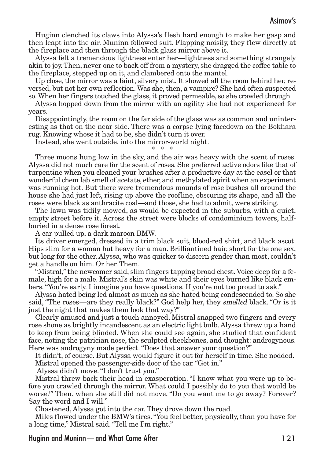Huginn clenched its claws into Alyssa's flesh hard enough to make her gasp and then leapt into the air. Muninn followed suit. Flapping noisily, they flew directly at the fireplace and then through the black glass mirror above it.

Alyssa felt a tremendous lightness enter her—lightness and something strangely akin to joy.Then, never one to back off from a mystery, she dragged the coffee table to the fireplace, stepped up on it, and clambered onto the mantel.

Up close, the mirror was a faint, silvery mist. It showed all the room behind her, reversed, but not her own reflection.Was she,then, a vampire? She had often suspected so.When her fingers touched the glass, it proved permeable, so she crawled through.

Alyssa hopped down from the mirror with an agility she had not experienced for years.

Disappointingly, the room on the far side of the glass was as common and uninteresting as that on the near side. There was a corpse lying facedown on the Bokhara rug. Knowing whose it had to be, she didn't turn it over.

Instead, she went outside, into the mirror-world night.

\* \* \*

Three moons hung low in the sky, and the air was heavy with the scent of roses. Alyssa did not much care for the scent of roses. She preferred active odors like that of turpentine when you cleaned your brushes after a productive day at the easel or that wonderful chem lab smell of acetate, ether, and methylated spirit when an experiment was running hot. But there were tremendous mounds of rose bushes all around the house she had just left, rising up above the roofline, obscuring its shape, and all the roses were black as anthracite coal—and those, she had to admit, were striking.

The lawn was tidily mowed, as would be expected in the suburbs, with a quiet, empty street before it. Across the street were blocks of condominium towers, halfburied in a dense rose forest.

A car pulled up, a dark maroon BMW.

Its driver emerged, dressed in a trim black suit, blood-red shirt, and black ascot. Hips slim for a woman but heavy for a man. Brilliantined hair, short for the one sex, but long for the other. Alyssa, who was quicker to discern gender than most, couldn't get a handle on him. Or her. Them.

"Mistral,"the newcomer said, slim fingers tapping broad chest. Voice deep for a female, high for a male. Mistral's skin was white and their eyes burned like black embers. "You're early. I imagine you have questions. If you're not too proud to ask."

Alyssa hated being led almost as much as she hated being condescended to. So she said, "The roses—are they really black?" God help her, they smelled black. "Or is it just the night that makes them look that way?"

Clearly amused and just a touch annoyed, Mistral snapped two fingers and every rose shone as brightly incandescent as an electric light bulb. Alyssa threw up a hand to keep from being blinded. When she could see again, she studied that confident face, noting the patrician nose, the sculpted cheekbones, and thought: androgynous. Here was androgyny made perfect."Does that answer your question?"

It didn't, of course. But Alyssa would figure it out for herself in time. She nodded. Mistral opened the passenger-side door of the car."Get in."

Alyssa didn't move."I don't trust you."

Mistral threw back their head in exasperation. "I know what you were up to before you crawled through the mirror. What could I possibly do to you that would be worse?" Then, when she still did not move, "Do you want me to go away? Forever? Say the word and I will."

Chastened, Alyssa got into the car. They drove down the road.

Miles flowed under the BMW's tires."You feel better, physically, than you have for a long time," Mistral said."Tell me I'm right."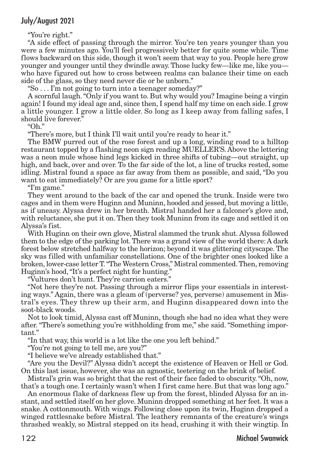"You're right."

"A side effect of passing through the mirror. You're ten years younger than you were a few minutes ago. You'll feel progressively better for quite some while. Time flows backward on this side, though it won't seem that way to you. People here grow younger and younger until they dwindle away. Those lucky few—like me, like you who have figured out how to cross between realms can balance their time on each side of the glass, so they need never die or be unborn."

"So . . . I'm not going to turn into a teenager someday?"

A scornful laugh."Only if you want to. But why would you? Imagine being a virgin again! I found my ideal age and, since then, I spend half my time on each side. I grow a little younger. I grow a little older. So long as I keep away from falling safes, I should live forever.

"Oh."

"There's more, but I think I'll wait until you're ready to hear it."

The BMW purred out of the rose forest and up a long, winding road to a hilltop restaurant topped by a flashing neon sign reading MUELLER'S. Above the lettering was a neon mule whose hind legs kicked in three shifts of tubing—out straight, up high, and back, over and over. To the far side of the lot, a line of trucks rested, some idling. Mistral found a space as far away from them as possible, and said, "Do you want to eat immediately? Or are you game for a little sport?

"I'm game."

They went around to the back of the car and opened the trunk. Inside were two cages and in them were Huginn and Muninn, hooded and jessed, but moving a little, as if uneasy. Alyssa drew in her breath. Mistral handed her a falconer's glove and, with reluctance, she put it on. Then they took Muninn from its cage and settled it on Alyssa's fist.

With Huginn on their own glove, Mistral slammed the trunk shut. Alyssa followed them to the edge of the parking lot. There was a grand view of the world there: A dark forest below stretched halfway to the horizon; beyond it was glittering cityscape. The sky was filled with unfamiliar constellations. One of the brighter ones looked like a broken, lower-case letter T."The Western Cross," Mistral commented.Then, removing Huginn's hood,"It's a perfect night for hunting."

"Vultures don't hunt. They're carrion eaters."

"Not here they're not. Passing through a mirror flips your essentials in interesting ways." Again, there was a gleam of (perverse? yes, perverse) amusement in Mistral's eyes. They threw up their arm, and Huginn disappeared down into the soot-black woods.

Not to look timid, Alyssa cast off Muninn, though she had no idea what they were after. "There's something you're withholding from me," she said. "Something important."

"In that way, this world is a lot like the one you left behind."

"You're not going to tell me, are you?"

"I believe we've already established that."

"Are you the Devil?" Alyssa didn't accept the existence of Heaven or Hell or God. On this last issue, however, she was an agnostic, teetering on the brink of belief.

Mistral's grin was so bright that the rest of their face faded to obscurity."Oh, now, that's a tough one. I certainly wasn't when I first came here. But that was long ago."

An enormous flake of darkness flew up from the forest, blinded Alyssa for an instant, and settled itself on her glove. Muninn dropped something at her feet. It was a snake. A cottonmouth. With wings. Following close upon its twin, Huginn dropped a winged rattlesnake before Mistral. The leathery remnants of the creature's wings thrashed weakly, so Mistral stepped on its head, crushing it with their wingtip. In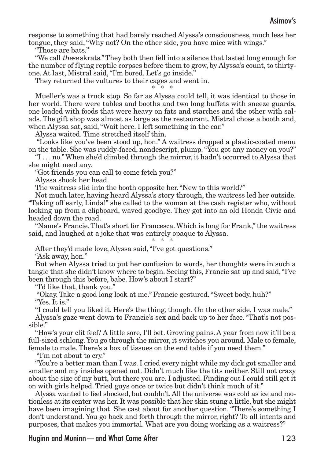response to something that had barely reached Alyssa's consciousness, much less her tongue, they said,"Why not? On the other side, you have mice with wings."

"Those are bats."

"We call these skrats."They both then fell into a silence that lasted long enough for the number of flying reptile corpses before them to grow, by Alyssa's count, to thirtyone. At last, Mistral said,"I'm bored. Let's go inside."

They returned the vultures to their cages and went in.

\* \* \*

Mueller's was a truck stop. So far as Alyssa could tell, it was identical to those in her world. There were tables and booths and two long buffets with sneeze guards, one loaded with foods that were heavy on fats and starches and the other with salads. The gift shop was almost as large as the restaurant. Mistral chose a booth and, when Alyssa sat, said, "Wait here. I left something in the car."

Alyssa waited. Time stretched itself thin.

"Looks like you've been stood up, hon." A waitress dropped a plastic-coated menu on the table. She was ruddy-faced, nondescript, plump."You got any money on you?"

"I . . . no."When she'd climbed through the mirror, it hadn't occurred to Alyssa that she might need any.

"Got friends you can call to come fetch you?"

Alyssa shook her head.

The waitress slid into the booth opposite her."New to this world?"

Not much later, having heard Alyssa's story through, the waitress led her outside. "Taking off early, Linda!" she called to the woman at the cash register who, without looking up from a clipboard, waved goodbye. They got into an old Honda Civic and headed down the road.

"Name's Francie.That's short for Francesca.Which is long for Frank,"the waitress said, and laughed at a joke that was entirely opaque to Alyssa.

\* \* \*

After they'd made love, Alyssa said,"I've got questions."

"Ask away, hon."

But when Alyssa tried to put her confusion to words, her thoughts were in such a tangle that she didn't know where to begin. Seeing this, Francie sat up and said,"I've been through this before, babe. How's about I start?"

"I'd like that, thank you."

"Okay. Take a good long look at me." Francie gestured."Sweet body, huh?" "Yes. It is."

"I could tell you liked it. Here's the thing, though. On the other side, I was male."

Alyssa's gaze went down to Francie's sex and back up to her face."That's not possible."

"How's your clit feel? A little sore, I'll bet. Growing pains. A year from now it'll be a full-sized schlong. You go through the mirror, it switches you around. Male to female, female to male. There's a box of tissues on the end table if you need them."

"I'm not about to cry."

"You're a better man than I was. I cried every night while my dick got smaller and smaller and my insides opened out. Didn't much like the tits neither. Still not crazy about the size of my butt, but there you are. I adjusted. Finding out I could still get it on with girls helped. Tried guys once or twice but didn't think much of it."

Alyssa wanted to feel shocked, but couldn't. All the universe was cold as ice and motionless at its center was her. It was possible that her skin stung a little, but she might have been imagining that. She cast about for another question. "There's something I don't understand. You go back and forth through the mirror, right? To all intents and purposes, that makes you immortal. What are you doing working as a waitress?"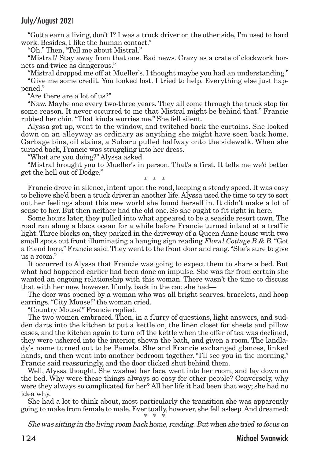#### July/August 2021

"Gotta earn a living, don't I? I was a truck driver on the other side, I'm used to hard work. Besides, I like the human contact."

"Oh." Then,"Tell me about Mistral."

"Mistral? Stay away from that one. Bad news. Crazy as a crate of clockwork hornets and twice as dangerous."

"Mistral dropped me off at Mueller's. I thought maybe you had an understanding." "Give me some credit. You looked lost. I tried to help. Everything else just happened."

"Are there are a lot of us?"

"Naw. Maybe one every two-three years. They all come through the truck stop for some reason. It never occurred to me that Mistral might be behind that." Francie rubbed her chin."That kinda worries me." She fell silent.

Alyssa got up, went to the window, and twitched back the curtains. She looked down on an alleyway as ordinary as anything she might have seen back home. Garbage bins, oil stains, a Subaru pulled halfway onto the sidewalk. When she turned back, Francie was struggling into her dress.

"What are you doing?" Alyssa asked.

"Mistral brought you to Mueller's in person. That's a first. It tells me we'd better get the hell out of Dodge."

\* \* \*

Francie drove in silence, intent upon the road, keeping a steady speed. It was easy to believe she'd been a truck driver in another life. Alyssa used the time to try to sort out her feelings about this new world she found herself in. It didn't make a lot of sense to her. But then neither had the old one. So she ought to fit right in here.

Some hours later, they pulled into what appeared to be a seaside resort town. The road ran along a black ocean for a while before Francie turned inland at a traffic light. Three blocks on, they parked in the driveway of a Queen Anne house with two small spots out front illuminating a hanging sign reading Floral Cottage B & B. "Got a friend here," Francie said.They went to the front door and rang."She's sure to give us a room."

It occurred to Alyssa that Francie was going to expect them to share a bed. But what had happened earlier had been done on impulse. She was far from certain she wanted an ongoing relationship with this woman. There wasn't the time to discuss that with her now, however. If only, back in the car, she had—

The door was opened by a woman who was all bright scarves, bracelets, and hoop earrings."City Mouse!" the woman cried.

"Country Mouse!" Francie replied.

The two women embraced. Then, in a flurry of questions, light answers, and sudden darts into the kitchen to put a kettle on, the linen closet for sheets and pillow cases, and the kitchen again to turn off the kettle when the offer of tea was declined, they were ushered into the interior, shown the bath, and given a room. The landlady's name turned out to be Pamela. She and Francie exchanged glances, linked hands, and then went into another bedroom together. "I'll see you in the morning," Francie said reassuringly, and the door clicked shut behind them.

Well, Alyssa thought. She washed her face, went into her room, and lay down on the bed. Why were these things always so easy for other people? Conversely, why were they always so complicated for her? All her life it had been that way; she had no idea why.

She had a lot to think about, most particularly the transition she was apparently going to make from female to male. Eventually, however, she fell asleep.And dreamed:  $*$ 

Shewas sitting in the living room back home, reading. But when she tried to focus on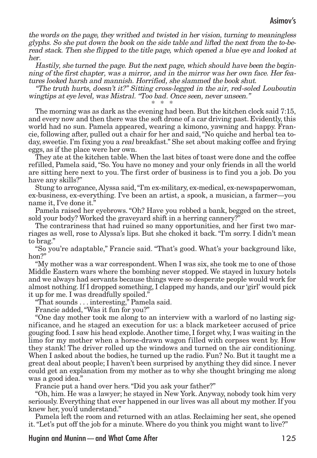the words on the page, they writhed and twisted in her vision, turning to meaningless glyphs. So she put down the book on the side table and lifted the next from the to-beread stack. Then she flipped to the title page, which opened <sup>a</sup> blue eye and looked at her.

Hastily, she turned the page. But the next page, which should have been the beginning of the first chapter, was <sup>a</sup> mirror, and in the mirror was her own face. Her features looked harsh and mannish. Horrified, she slammed the book shut.

"The truth hurts, doesn't it?" Sitting cross-legged in the air, red-soled Louboutin wingtips at eye level, was Mistral. "Too bad. Once seen, never unseen."

\* \* \*

The morning was as dark as the evening had been. But the kitchen clock said 7:15, and every now and then there was the soft drone of a car driving past. Evidently, this world had no sun. Pamela appeared, wearing a kimono, yawning and happy. Francie, following after, pulled out a chair for her and said,"No quiche and herbal tea today, sweetie. I'm fixing you a real breakfast." She set about making coffee and frying eggs, as if the place were her own.

They ate at the kitchen table.When the last bites of toast were done and the coffee refilled, Pamela said,"So. You have no money and your only friends in all the world are sitting here next to you. The first order of business is to find you a job. Do you have any skills?"

Stung to arrogance,Alyssa said,"I'm ex-military, ex-medical, ex-newspaperwoman, ex-business, ex-everything. I've been an artist, a spook, a musician, a farmer—you name it, I've done it."

Pamela raised her eyebrows. "Oh? Have you robbed a bank, begged on the street, sold your body? Worked the graveyard shift in a herring cannery?"

The contrariness that had ruined so many opportunities, and her first two marriages as well, rose to Alyssa's lips. But she choked it back."I'm sorry. I didn't mean to brag."

"So you're adaptable," Francie said. "That's good. What's your background like, hon?"

"My mother was a war correspondent. When I was six, she took me to one of those Middle Eastern wars where the bombing never stopped. We stayed in luxury hotels and we always had servants because things were so desperate people would work for almost nothing. If I dropped something, I clapped my hands, and our 'girl' would pick it up for me. I was dreadfully spoiled."

"That sounds . . . interesting," Pamela said.

Francie added,"Was it fun for you?"

"One day mother took me along to an interview with a warlord of no lasting significance, and he staged an execution for us: a black marketeer accused of price gouging food. I saw his head explode. Another time, I forget why, I was waiting in the limo for my mother when a horse-drawn wagon filled with corpses went by. How they stank! The driver rolled up the windows and turned on the air conditioning. When I asked about the bodies, he turned up the radio. Fun? No. But it taught me a great deal about people; I haven't been surprised by anything they did since. I never could get an explanation from my mother as to why she thought bringing me along was a good idea."

Francie put a hand over hers."Did you ask your father?"

"Oh, him. He was a lawyer; he stayed in New York. Anyway, nobody took him very seriously. Everything that ever happened in our lives was all about my mother. If you knew her, you'd understand."

Pamela left the room and returned with an atlas. Reclaiming her seat, she opened it."Let's put off the job for a minute. Where do you think you might want to live?"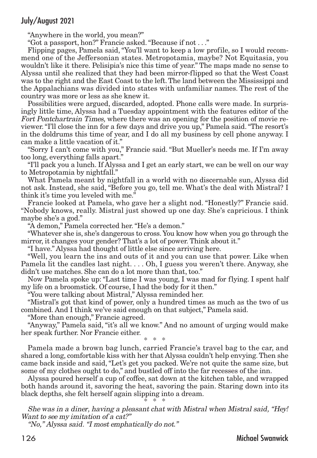# July/August 2021

"Anywhere in the world, you mean?"

"Got a passport, hon?" Francie asked."Because if not . . ."

Flipping pages, Pamela said, "You'll want to keep a low profile, so I would recommend one of the Jeffersonian states. Metropotamia, maybe? Not Equitasia, you wouldn't like it there. Pelisipia's nice this time of year." The maps made no sense to Alyssa until she realized that they had been mirror-flipped so that the West Coast was to the right and the East Coast to the left.The land between the Mississippi and the Appalachians was divided into states with unfamiliar names. The rest of the country was more or less as she knew it.

Possibilities were argued, discarded, adopted. Phone calls were made. In surprisingly little time, Alyssa had a Tuesday appointment with the features editor of the Fort Pontchartrain Times, where there was an opening for the position of movie reviewer."I'll close the inn for a few days and drive you up," Pamela said."The resort's in the doldrums this time of year, and I do all my business by cell phone anyway. I can make a little vacation of it."

"Sorry I can't come with you," Francie said. "But Mueller's needs me. If I'm away too long, everything falls apart."

"I'll pack you a lunch. If Alyssa and I get an early start, we can be well on our way to Metropotamia by nightfall."

What Pamela meant by nightfall in a world with no discernable sun, Alyssa did not ask. Instead, she said, "Before you go, tell me. What's the deal with Mistral? I think it's time you leveled with me."

Francie looked at Pamela, who gave her a slight nod. "Honestly?" Francie said. "Nobody knows, really. Mistral just showed up one day. She's capricious. I think maybe she's a god."

"A demon," Pamela corrected her."He's a demon."

"Whatever she is, she's dangerous to cross. You know how when you go through the mirror, it changes your gender? That's a lot of power. Think about it."

"I have." Alyssa had thought of little else since arriving here.

"Well, you learn the ins and outs of it and you can use that power. Like when Pamela lit the candles last night. . . . Oh, I guess you weren't there. Anyway, she didn't use matches. She can do a lot more than that, too."

Now Pamela spoke up: "Last time I was young, I was mad for flying. I spent half my life on a broomstick. Of course, I had the body for it then."

"You were talking about Mistral," Alyssa reminded her.

"Mistral's got that kind of power, only a hundred times as much as the two of us combined. And I think we've said enough on that subject," Pamela said.

"More than enough," Francie agreed.

"Anyway," Pamela said, "it's all we know." And no amount of urging would make her speak further. Nor Francie either.

\* \* \*

Pamela made a brown bag lunch, carried Francie's travel bag to the car, and shared a long, comfortable kiss with her that Alyssa couldn't help envying. Then she came back inside and said,"Let's get you packed. We're not quite the same size, but some of my clothes ought to do," and bustled off into the far recesses of the inn.

Alyssa poured herself a cup of coffee, sat down at the kitchen table, and wrapped both hands around it, savoring the heat, savoring the pain. Staring down into its black depths, she felt herself again slipping into a dream. \* \* \*

She was in <sup>a</sup> diner, having <sup>a</sup> pleasant chat with Mistral when Mistral said, "Hey! Want to see my imitation of <sup>a</sup> cat?"

"No," Alyssa said. "I most emphatically do not."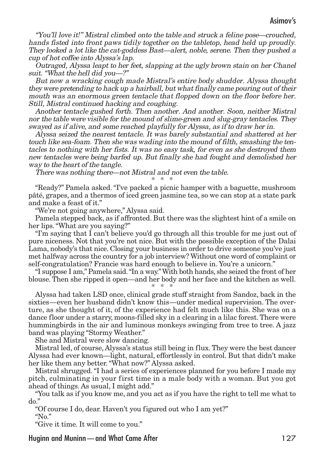"You'll love it!" Mistral climbed onto the table and struck <sup>a</sup> feline pose—crouched, hands fisted into front paws tidily together on the tabletop, head held up proudly. They looked <sup>a</sup> lot like the cat-goddess Bast—alert, noble, serene. Then they pushed <sup>a</sup> cup of hot coffee into Alyssa's lap.

Outraged, Alyssa leapt to her feet, slapping at the ugly brown stain on her Chanel suit. "What the hell did you—?"

But now <sup>a</sup> wracking cough made Mistral's entire body shudder. Alyssa thought they were pretending to hack up <sup>a</sup> hairball, but whatfinally came pouring out of their mouth was an enormous green tentacle that flopped down on the floor before her. Still, Mistral continued hacking and coughing.

Another tentacle gushed forth. Then another. And another. Soon, neither Mistral nor the table were visible for the mound of slime-green and slug-gray tentacles. They swayed as if alive, and some reached playfully for Alyssa, as if to draw her in.

Alyssa seized the nearest tentacle. It was barely substantial and shattered at her touch like sea-foam. Then she was wading into the mound of filth, smashing the tentacles to nothing with her fists. It was no easy task, for even as she destroyed them new tentacles were being barfed up. But finally she had fought and demolished her way to the heart of the tangle.

There was nothing there—not Mistral and not even the table.

\* \* \*

"Ready?" Pamela asked."I've packed a picnic hamper with a baguette, mushroom pâté, grapes, and a thermos of iced green jasmine tea, so we can stop at a state park and make a feast of it."

"We're not going anywhere," Alyssa said.

Pamela stepped back, as if affronted. But there was the slightest hint of a smile on her lips."What are you saying?"

"I'm saying that I can't believe you'd go through all this trouble for me just out of pure niceness. Not that you're not nice. But with the possible exception of the Dalai Lama, nobody's that nice. Closing your business in order to drive someone you've just met halfway across the country for a job interview? Without one word of complaint or self-congratulation? Francie was hard enough to believe in. You're a unicorn."

"I suppose I am,"Pamela said."In a way."With both hands, she seized the front of her blouse. Then she ripped it open—and her body and her face and the kitchen as well. \* \* \*

Alyssa had taken LSD once, clinical grade stuff straight from Sandoz, back in the sixties—even her husband didn't know this—under medical supervision. The overture, as she thought of it, of the experience had felt much like this. She was on a dance floor under a starry, moons-filled sky in a clearing in a lilac forest.There were hummingbirds in the air and luminous monkeys swinging from tree to tree. A jazz band was playing "Stormy Weather."

She and Mistral were slow dancing.

Mistral led, of course, Alyssa's status still being in flux.They were the best dancer Alyssa had ever known—light, natural, effortlessly in control. But that didn't make her like them any better."What now?" Alyssa asked.

Mistral shrugged."I had a series of experiences planned for you before I made my pitch, culminating in your first time in a male body with a woman. But you got ahead of things. As usual, I might add."

"You talk as if you know me, and you act as if you have the right to tell me what to do."

"Of course I do, dear. Haven't you figured out who I am yet?"

"No."

"Give it time. It will come to you."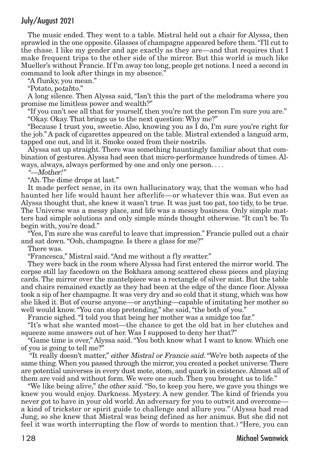# July/August 2021

The music ended. They went to a table. Mistral held out a chair for Alyssa, then sprawled in the one opposite. Glasses of champagne appeared before them."I'll cut to the chase. I like my gender and age exactly as they are—and that requires that I make frequent trips to the other side of the mirror. But this world is much like Mueller's without Francie. If I'm away too long, people get notions. I need a second in command to look after things in my absence."

"A flunky, you mean."

"Potato, potahto."

A long silence. Then Alyssa said, "Isn't this the part of the melodrama where you promise me limitless power and wealth?"

"If you can't see all that for yourself, then you're not the person I'm sure you are." "Okay. Okay. That brings us to the next question: Why me?"

"Because I trust you, sweetie. Also, knowing you as I do, I'm sure you're right for the job." A pack of cigarettes appeared on the table. Mistral extended a languid arm, tapped one out, and lit it. Smoke oozed from their nostrils.

Alyssa sat up straight. There was something hauntingly familiar about that combination of gestures. Alyssa had seen that micro-performance hundreds of times. Always, always, always performed by one and only one person. . . .

"—Mother!"

"Ah. The dime drops at last."

It made perfect sense, in its own hallucinatory way, that the woman who had haunted her life would haunt her afterlife—or whatever this was. But even as Alyssa thought that, she knew it wasn't true. It was just too pat, too tidy, to be true. The Universe was a messy place, and life was a messy business. Only simple matters had simple solutions and only simple minds thought otherwise. "It can't be. To begin with, you're dead."

"Yes, I'm sure she was careful to leave that impression." Francie pulled out a chair and sat down."Ooh, champagne. Is there a glass for me?"

There was.

"Francesca," Mistral said."And me without a fly swatter."

They were back in the room where Alyssa had first entered the mirror world. The corpse still lay facedown on the Bokhara among scattered chess pieces and playing cards. The mirror over the mantelpiece was a rectangle of silver mist. But the table and chairs remained exactly as they had been at the edge of the dance floor. Alyssa took a sip of her champagne. It was very dry and so cold that it stung, which was how she liked it. But of course anyone—or anything—capable of imitating her mother so well would know. "You can stop pretending," she said, "the both of you."

Francie sighed."I told you that being her mother was a smidge too far."

"It's what she wanted most—the chance to get the old bat in her clutches and squeeze some answers out of her. Was I supposed to deny her that?"

"Game time is over," Alyssa said."You both know what I want to know. Which one of you is going to tell me?"

"It really doesn't matter," either Mistral or Francie said."We're both aspects of the same thing.When you passed through the mirror, you created a pocket universe.There are potential universes in every dust mote, atom, and quark in existence.Almost all of them are void and without form. We were one such. Then you brought us to life."

"We like being alive," the other said. "So, to keep you here, we gave you things we knew you would enjoy. Darkness. Mystery. A new gender. The kind of friends you never got to have in your old world. An adversary for you to outwit and overcome a kind of trickster or spirit guide to challenge and allure you." (Alyssa had read Jung, so she knew that Mistral was being defined as her animus. But she did not feel it was worth interrupting the flow of words to mention that.) "Here, you can